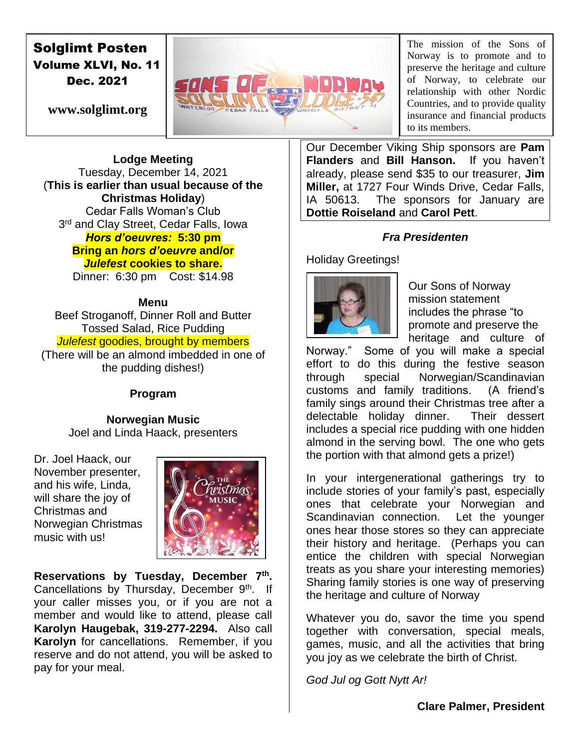# Solglimt Posten Volume XLVI, No. 11 Dec. 2021



The mission of the Sons of Norway is to promote and to preserve the heritage and culture of Norway, to celebrate our relationship with other Nordic Countries, and to provide quality insurance and financial products to its members.

**www.solglimt.org**

**Lodge Meeting** Tuesday, December 14, 2021 (**This is earlier than usual because of the Christmas Holiday**) Cedar Falls Woman's Club 3<sup>rd</sup> and Clay Street, Cedar Falls, Iowa *Hors d'oeuvres:* **5:30 pm Bring an** *hors d'oeuvre* **and/or** *Julefest* **cookies to share.** Dinner: 6:30 pm Cost: \$14.98

#### **Menu**

Beef Stroganoff, Dinner Roll and Butter Tossed Salad, Rice Pudding *Julefest* goodies, brought by members (There will be an almond imbedded in one of the pudding dishes!)

## **Program**

## **Norwegian Music**

Joel and Linda Haack, presenters

Dr. Joel Haack, our November presenter, and his wife, Linda, will share the joy of Christmas and Norwegian Christmas music with us!



**Reservations by Tuesday, December 7th .**  Cancellations by Thursday, December  $9<sup>th</sup>$ . If your caller misses you, or if you are not a member and would like to attend, please call **Karolyn Haugebak, 319-277-2294.** Also call **Karolyn** for cancellations. Remember, if you reserve and do not attend, you will be asked to pay for your meal.

Our December Viking Ship sponsors are **Pam Flanders** and **Bill Hanson.** If you haven't already, please send \$35 to our treasurer, **Jim Miller,** at 1727 Four Winds Drive, Cedar Falls, IA 50613. The sponsors for January are **Dottie Roiseland** and **Carol Pett**.

## *Fra Presidenten*

Holiday Greetings!



Our Sons of Norway mission statement includes the phrase "to promote and preserve the heritage and culture of

Norway." Some of you will make a special effort to do this during the festive season through special Norwegian/Scandinavian customs and family traditions. (A friend's family sings around their Christmas tree after a delectable holiday dinner. Their dessert includes a special rice pudding with one hidden almond in the serving bowl. The one who gets the portion with that almond gets a prize!)

In your intergenerational gatherings try to include stories of your family's past, especially ones that celebrate your Norwegian and Scandinavian connection. Let the younger ones hear those stores so they can appreciate their history and heritage. (Perhaps you can entice the children with special Norwegian treats as you share your interesting memories) Sharing family stories is one way of preserving the heritage and culture of Norway

Whatever you do, savor the time you spend together with conversation, special meals, games, music, and all the activities that bring you joy as we celebrate the birth of Christ.

*God Jul og Gott Nytt Ar!*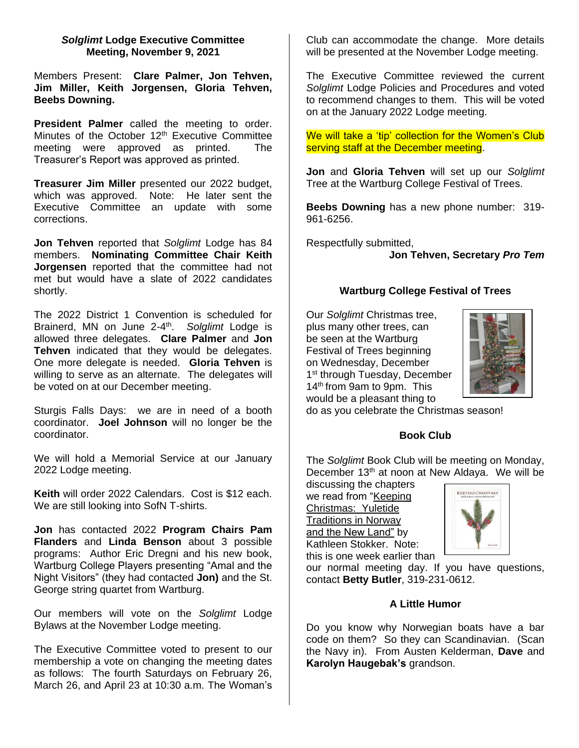#### *Solglimt* **Lodge Executive Committee Meeting, November 9, 2021**

Members Present: **Clare Palmer, Jon Tehven, Jim Miller, Keith Jorgensen, Gloria Tehven, Beebs Downing.**

**President Palmer** called the meeting to order. Minutes of the October 12<sup>th</sup> Executive Committee meeting were approved as printed. The Treasurer's Report was approved as printed.

**Treasurer Jim Miller** presented our 2022 budget, which was approved. Note: He later sent the Executive Committee an update with some corrections.

**Jon Tehven** reported that *Solglimt* Lodge has 84 members. **Nominating Committee Chair Keith Jorgensen** reported that the committee had not met but would have a slate of 2022 candidates shortly.

The 2022 District 1 Convention is scheduled for Brainerd, MN on June 2-4 th . *Solglimt* Lodge is allowed three delegates. **Clare Palmer** and **Jon Tehven** indicated that they would be delegates. One more delegate is needed. **Gloria Tehven** is willing to serve as an alternate. The delegates will be voted on at our December meeting.

Sturgis Falls Days: we are in need of a booth coordinator. **Joel Johnson** will no longer be the coordinator.

We will hold a Memorial Service at our January 2022 Lodge meeting.

**Keith** will order 2022 Calendars. Cost is \$12 each. We are still looking into SofN T-shirts.

**Jon** has contacted 2022 **Program Chairs Pam Flanders** and **Linda Benson** about 3 possible programs: Author Eric Dregni and his new book, Wartburg College Players presenting "Amal and the Night Visitors" (they had contacted **Jon)** and the St. George string quartet from Wartburg.

Our members will vote on the *Solglimt* Lodge Bylaws at the November Lodge meeting.

The Executive Committee voted to present to our membership a vote on changing the meeting dates as follows: The fourth Saturdays on February 26, March 26, and April 23 at 10:30 a.m. The Woman's

Club can accommodate the change. More details will be presented at the November Lodge meeting.

The Executive Committee reviewed the current *Solglimt* Lodge Policies and Procedures and voted to recommend changes to them. This will be voted on at the January 2022 Lodge meeting.

We will take a 'tip' collection for the Women's Club serving staff at the December meeting.

**Jon** and **Gloria Tehven** will set up our *Solglimt*  Tree at the Wartburg College Festival of Trees.

**Beebs Downing** has a new phone number: 319- 961-6256.

Respectfully submitted,

**Jon Tehven, Secretary** *Pro Tem*

### **Wartburg College Festival of Trees**

Our *Solglimt* Christmas tree, plus many other trees, can be seen at the Wartburg Festival of Trees beginning on Wednesday, December 1<sup>st</sup> through Tuesday, December 14<sup>th</sup> from 9am to 9pm. This would be a pleasant thing to



do as you celebrate the Christmas season!

#### **Book Club**

The *Solglimt* Book Club will be meeting on Monday, December 13<sup>th</sup> at noon at New Aldaya. We will be

discussing the chapters we read from "Keeping Christmas: Yuletide Traditions in Norway and the New Land" by Kathleen Stokker. Note: this is one week earlier than



our normal meeting day. If you have questions, contact **Betty Butler**, 319-231-0612.

#### **A Little Humor**

Do you know why Norwegian boats have a bar code on them? So they can Scandinavian. (Scan the Navy in). From Austen Kelderman, **Dave** and **Karolyn Haugebak's** grandson.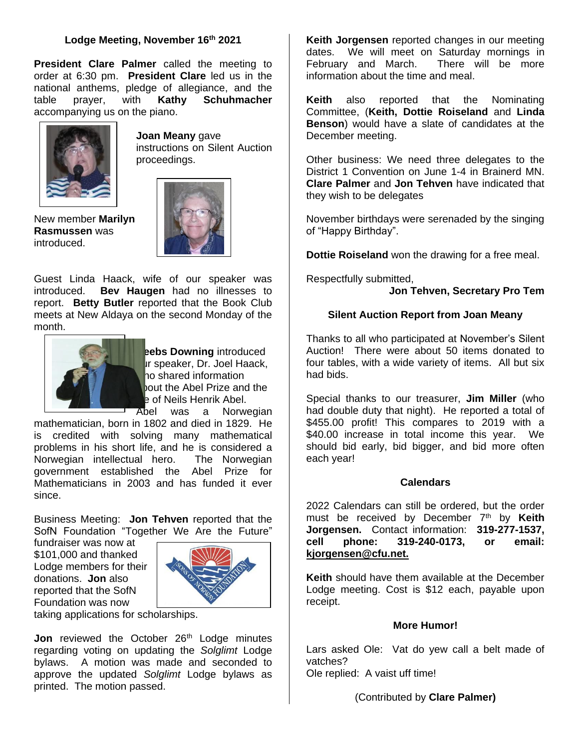### **Lodge Meeting, November 16th 2021**

**President Clare Palmer** called the meeting to order at 6:30 pm. **President Clare** led us in the national anthems, pledge of allegiance, and the table prayer, with **Kathy Schuhmacher**  accompanying us on the piano.



**Joan Meany** gave instructions on Silent Auction proceedings.

New member **Marilyn Rasmussen** was introduced.



Guest Linda Haack, wife of our speaker was introduced. **Bev Haugen** had no illnesses to report. **Betty Butler** reported that the Book Club meets at New Aldaya on the second Monday of the month.



**Pebs Downing introduced** r speaker, Dr. Joel Haack, ho shared information bout the Abel Prize and the e of Neils Henrik Abel.

Abel was a Norwegian mathematician, born in 1802 and died in 1829. He is credited with solving many mathematical problems in his short life, and he is considered a Norwegian intellectual hero. The Norwegian government established the Abel Prize for Mathematicians in 2003 and has funded it ever since.

Business Meeting: **Jon Tehven** reported that the SofN Foundation "Together We Are the Future"

fundraiser was now at \$101,000 and thanked Lodge members for their donations. **Jon** also reported that the SofN Foundation was now



taking applications for scholarships.

**Jon** reviewed the October 26<sup>th</sup> Lodge minutes regarding voting on updating the *Solglimt* Lodge bylaws. A motion was made and seconded to approve the updated *Solglimt* Lodge bylaws as printed. The motion passed.

**Keith Jorgensen** reported changes in our meeting dates. We will meet on Saturday mornings in February and March. There will be more information about the time and meal.

**Keith** also reported that the Nominating Committee, (**Keith, Dottie Roiseland** and **Linda Benson**) would have a slate of candidates at the December meeting.

Other business: We need three delegates to the District 1 Convention on June 1-4 in Brainerd MN. **Clare Palmer** and **Jon Tehven** have indicated that they wish to be delegates

November birthdays were serenaded by the singing of "Happy Birthday".

**Dottie Roiseland** won the drawing for a free meal.

Respectfully submitted,

**Jon Tehven, Secretary Pro Tem**

#### **Silent Auction Report from Joan Meany**

Thanks to all who participated at November's Silent Auction! There were about 50 items donated to four tables, with a wide variety of items. All but six had bids.

Special thanks to our treasurer, **Jim Miller** (who had double duty that night). He reported a total of \$455.00 profit! This compares to 2019 with a \$40.00 increase in total income this year. We should bid early, bid bigger, and bid more often each year!

#### **Calendars**

2022 Calendars can still be ordered, but the order must be received by December 7<sup>th</sup> by Keith **Jorgensen.** Contact information: **319-277-1537, cell phone: 319-240-0173, or email: kjorgensen@cfu.net.**

**Keith** should have them available at the December Lodge meeting. Cost is \$12 each, payable upon receipt.

#### **More Humor!**

Lars asked Ole: Vat do yew call a belt made of vatches? Ole replied: A vaist uff time!

(Contributed by **Clare Palmer)**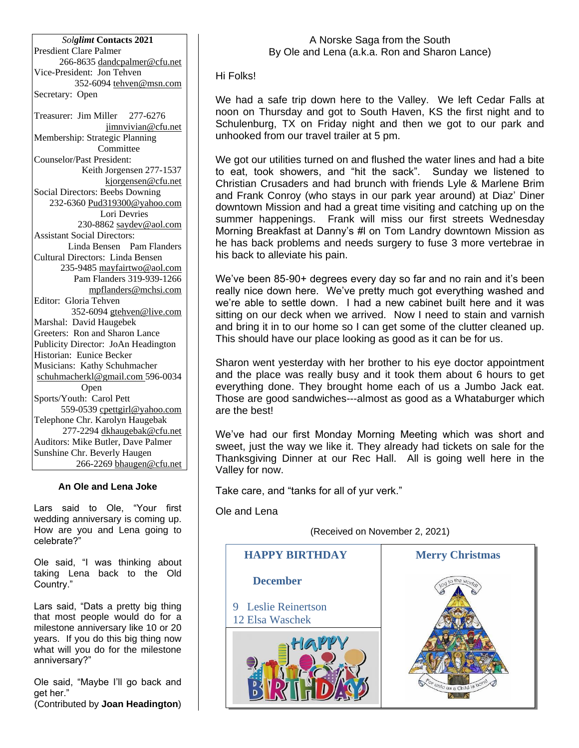*Solglimt* **Contacts 2021** Presdient Clare Palmer 266-8635 dandcpalmer@cfu.net Vice-President: Jon Tehven 352-6094 tehven@msn.com Secretary: Open Treasurer: Jim Miller 277-6276 jimnvivian@cfu.net Membership: Strategic Planning Committee Counselor/Past President: Keith Jorgensen 277-1537 kjorgensen@cfu.net Social Directors: Beebs Downing 232-6360 Pud319300@yahoo.com Lori Devries 230-8862 saydev@aol.com Assistant Social Directors: Linda Bensen Pam Flanders Cultural Directors: Linda Bensen 235-9485 [mayfairtwo@aol.com](mailto:mayfairtwo@aol.com)  Pam Flanders 319-939-1266 mpflanders@mchsi.com Editor: Gloria Tehven 352-6094 [gtehven@live.com](mailto:gtehven@live.com) Marshal: David Haugebek Greeters: Ron and Sharon Lance Publicity Director: JoAn Headington Historian: Eunice Becker Musicians: Kathy Schuhmacher [schuhmacherkl@gmail.com](mailto:schuhmacherkl@gmail.com) 596-0034 Open Sports/Youth: Carol Pett 559-0539 cpettgirl@yahoo.com Telephone Chr. Karolyn Haugebak 277-2294 [dkhaugebak@cfu.net](mailto:dkhaugebak@cfu.net) Auditors: Mike Butler, Dave Palmer Sunshine Chr. Beverly Haugen 266-2269 bhaugen@cfu.net

#### **An Ole and Lena Joke**

Lars said to Ole, "Your first wedding anniversary is coming up. How are you and Lena going to celebrate?"

Ole said, "I was thinking about taking Lena back to the Old Country."

Lars said, "Dats a pretty big thing that most people would do for a milestone anniversary like 10 or 20 years. If you do this big thing now what will you do for the milestone anniversary?"

Ole said, "Maybe I'll go back and get her."

(Contributed by **Joan Headington**)

Hi Folks!

We had a safe trip down here to the Valley. We left Cedar Falls at noon on Thursday and got to South Haven, KS the first night and to Schulenburg, TX on Friday night and then we got to our park and unhooked from our travel trailer at 5 pm.

We got our utilities turned on and flushed the water lines and had a bite to eat, took showers, and "hit the sack". Sunday we listened to Christian Crusaders and had brunch with friends Lyle & Marlene Brim and Frank Conroy (who stays in our park year around) at Diaz' Diner downtown Mission and had a great time visiting and catching up on the summer happenings. Frank will miss our first streets Wednesday Morning Breakfast at Danny's #l on Tom Landry downtown Mission as he has back problems and needs surgery to fuse 3 more vertebrae in his back to alleviate his pain.

We've been 85-90+ degrees every day so far and no rain and it's been really nice down here. We've pretty much got everything washed and we're able to settle down. I had a new cabinet built here and it was sitting on our deck when we arrived. Now I need to stain and varnish and bring it in to our home so I can get some of the clutter cleaned up. This should have our place looking as good as it can be for us.

Sharon went yesterday with her brother to his eye doctor appointment and the place was really busy and it took them about 6 hours to get everything done. They brought home each of us a Jumbo Jack eat. Those are good sandwiches---almost as good as a Whataburger which are the best!

We've had our first Monday Morning Meeting which was short and sweet, just the way we like it. They already had tickets on sale for the Thanksgiving Dinner at our Rec Hall. All is going well here in the Valley for now.

Take care, and "tanks for all of yur verk."

Ole and Lena

 **HAPPY BIRTHDAY December** 9 Leslie Reinertson 12 Elsa Waschek **Merry Christmas**

(Received on November 2, 2021)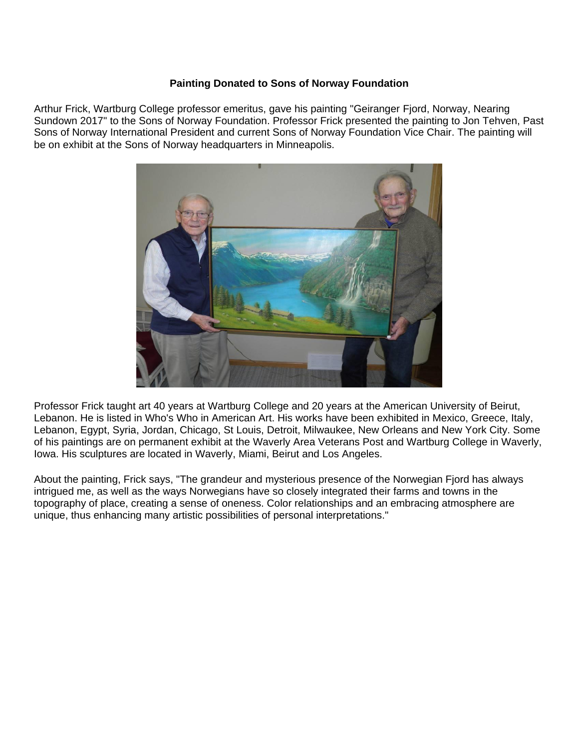#### **Painting Donated to Sons of Norway Foundation**

Arthur Frick, Wartburg College professor emeritus, gave his painting "Geiranger Fjord, Norway, Nearing Sundown 2017" to the Sons of Norway Foundation. Professor Frick presented the painting to Jon Tehven, Past Sons of Norway International President and current Sons of Norway Foundation Vice Chair. The painting will be on exhibit at the Sons of Norway headquarters in Minneapolis.



Professor Frick taught art 40 years at Wartburg College and 20 years at the American University of Beirut, Lebanon. He is listed in Who's Who in American Art. His works have been exhibited in Mexico, Greece, Italy, Lebanon, Egypt, Syria, Jordan, Chicago, St Louis, Detroit, Milwaukee, New Orleans and New York City. Some of his paintings are on permanent exhibit at the Waverly Area Veterans Post and Wartburg College in Waverly, Iowa. His sculptures are located in Waverly, Miami, Beirut and Los Angeles.

About the painting, Frick says, "The grandeur and mysterious presence of the Norwegian Fjord has always intrigued me, as well as the ways Norwegians have so closely integrated their farms and towns in the topography of place, creating a sense of oneness. Color relationships and an embracing atmosphere are unique, thus enhancing many artistic possibilities of personal interpretations."